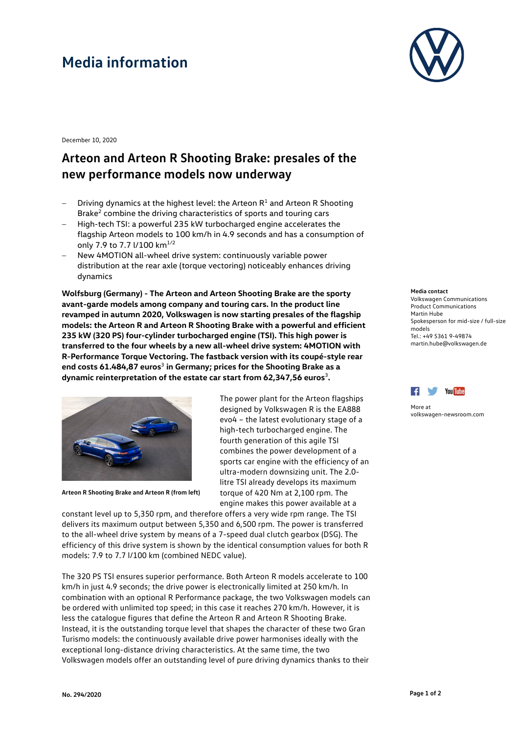# **Media information**



December 10, 2020

### **Arteon and Arteon R Shooting Brake: presales of the new performance models now underway**

- Driving dynamics at the highest level: the Arteon  $R<sup>1</sup>$  and Arteon R Shooting Brake<sup>2</sup> combine the driving characteristics of sports and touring cars
- − High-tech TSI: a powerful 235 kW turbocharged engine accelerates the flagship Arteon models to 100 km/h in 4.9 seconds and has a consumption of only 7.9 to 7.7 l/100 km<sup>1/2</sup>
- − New 4MOTION all-wheel drive system: continuously variable power distribution at the rear axle (torque vectoring) noticeably enhances driving dynamics

**Wolfsburg (Germany) - The Arteon and Arteon Shooting Brake are the sporty avant-garde models among company and touring cars. In the product line revamped in autumn 2020, Volkswagen is now starting presales of the flagship models: the Arteon R and Arteon R Shooting Brake with a powerful and efficient 235 kW (320 PS) four-cylinder turbocharged engine (TSI). This high power is transferred to the four wheels by a new all-wheel drive system: 4MOTION with R-Performance Torque Vectoring. The fastback version with its coupé-style rear end costs 61.484,87 euros**<sup>3</sup> **in Germany; prices for the Shooting Brake as a dynamic reinterpretation of the estate car start from 62,347,56 euros**<sup>3</sup>**.**



**Arteon R Shooting Brake and Arteon R (from left)**

The power plant for the Arteon flagships designed by Volkswagen R is the EA888 evo4 – the latest evolutionary stage of a high-tech turbocharged engine. The fourth generation of this agile TSI combines the power development of a sports car engine with the efficiency of an ultra-modern downsizing unit. The 2.0 litre TSI already develops its maximum torque of 420 Nm at 2,100 rpm. The engine makes this power available at a

constant level up to 5,350 rpm, and therefore offers a very wide rpm range. The TSI delivers its maximum output between 5,350 and 6,500 rpm. The power is transferred to the all-wheel drive system by means of a 7-speed dual clutch gearbox (DSG). The efficiency of this drive system is shown by the identical consumption values for both R models: 7.9 to 7.7 l/100 km (combined NEDC value).

The 320 PS TSI ensures superior performance. Both Arteon R models accelerate to 100 km/h in just 4.9 seconds; the drive power is electronically limited at 250 km/h. In combination with an optional R Performance package, the two Volkswagen models can be ordered with unlimited top speed; in this case it reaches 270 km/h. However, it is less the catalogue figures that define the Arteon R and Arteon R Shooting Brake. Instead, it is the outstanding torque level that shapes the character of these two Gran Turismo models: the continuously available drive power harmonises ideally with the exceptional long-distance driving characteristics. At the same time, the two Volkswagen models offer an outstanding level of pure driving dynamics thanks to their

#### **Media contact** Volkswagen Communications Product Communications Martin Hube Spokesperson for mid-size / full-size

models Tel.: +49 5361 9-49874 martin.hube@volkswagen.de



More at [volkswagen-newsroom.com](https://www.volkswagen-media-services.com/)